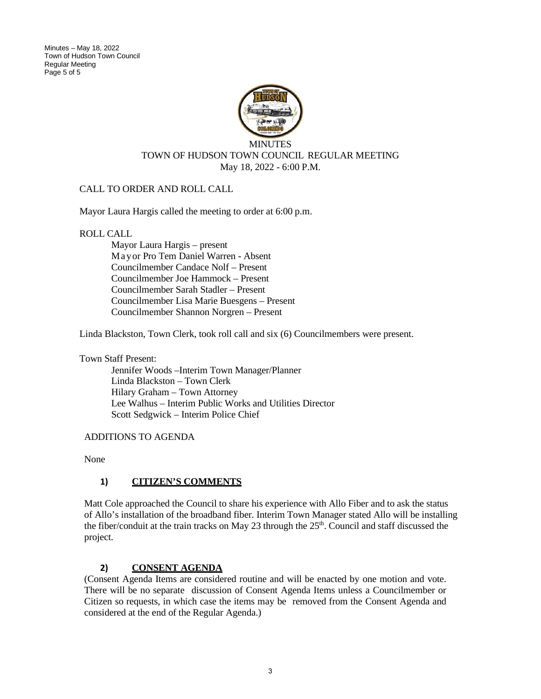Minutes – May 18, 2022 Town of Hudson Town Council Regular Meeting Page 5 of 5



### CALL TO ORDER AND ROLL CALL

Mayor Laura Hargis called the meeting to order at 6:00 p.m.

ROLL CALL

Mayor Laura Hargis – present Mayor Pro Tem Daniel Warren - Absent Councilmember Candace Nolf – Present Councilmember Joe Hammock – Present Councilmember Sarah Stadler – Present Councilmember Lisa Marie Buesgens – Present Councilmember Shannon Norgren – Present

Linda Blackston, Town Clerk, took roll call and six (6) Councilmembers were present.

Town Staff Present:

Jennifer Woods –Interim Town Manager/Planner Linda Blackston – Town Clerk Hilary Graham – Town Attorney Lee Walhus – Interim Public Works and Utilities Director Scott Sedgwick – Interim Police Chief

ADDITIONS TO AGENDA

None

#### **1) CITIZEN'S COMMENTS**

Matt Cole approached the Council to share his experience with Allo Fiber and to ask the status of Allo's installation of the broadband fiber. Interim Town Manager stated Allo will be installing the fiber/conduit at the train tracks on May 23 through the  $25<sup>th</sup>$ . Council and staff discussed the project.

### **2) CONSENT AGENDA**

(Consent Agenda Items are considered routine and will be enacted by one motion and vote. There will be no separate discussion of Consent Agenda Items unless a Councilmember or Citizen so requests, in which case the items may be removed from the Consent Agenda and considered at the end of the Regular Agenda.)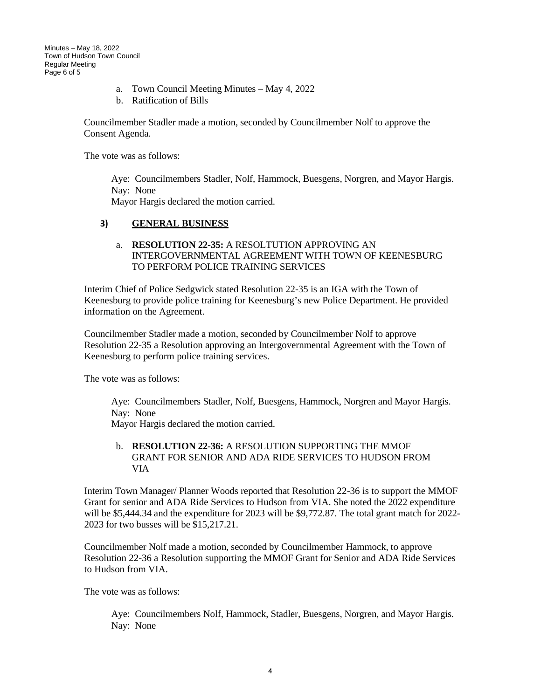- a. Town Council Meeting Minutes May 4, 2022
- b. Ratification of Bills

Councilmember Stadler made a motion, seconded by Councilmember Nolf to approve the Consent Agenda.

The vote was as follows:

Aye: Councilmembers Stadler, Nolf, Hammock, Buesgens, Norgren, and Mayor Hargis. Nay: None Mayor Hargis declared the motion carried.

### **3) GENERAL BUSINESS**

a. **RESOLUTION 22-35:** A RESOLTUTION APPROVING AN INTERGOVERNMENTAL AGREEMENT WITH TOWN OF KEENESBURG TO PERFORM POLICE TRAINING SERVICES

Interim Chief of Police Sedgwick stated Resolution 22-35 is an IGA with the Town of Keenesburg to provide police training for Keenesburg's new Police Department. He provided information on the Agreement.

Councilmember Stadler made a motion, seconded by Councilmember Nolf to approve Resolution 22-35 a Resolution approving an Intergovernmental Agreement with the Town of Keenesburg to perform police training services.

The vote was as follows:

Aye: Councilmembers Stadler, Nolf, Buesgens, Hammock, Norgren and Mayor Hargis. Nay: None

Mayor Hargis declared the motion carried.

### b. **RESOLUTION 22-36:** A RESOLUTION SUPPORTING THE MMOF GRANT FOR SENIOR AND ADA RIDE SERVICES TO HUDSON FROM VIA

Interim Town Manager/ Planner Woods reported that Resolution 22-36 is to support the MMOF Grant for senior and ADA Ride Services to Hudson from VIA. She noted the 2022 expenditure will be \$5,444.34 and the expenditure for 2023 will be \$9,772.87. The total grant match for 2022- 2023 for two busses will be \$15,217.21.

Councilmember Nolf made a motion, seconded by Councilmember Hammock, to approve Resolution 22-36 a Resolution supporting the MMOF Grant for Senior and ADA Ride Services to Hudson from VIA.

The vote was as follows:

Aye: Councilmembers Nolf, Hammock, Stadler, Buesgens, Norgren, and Mayor Hargis. Nay: None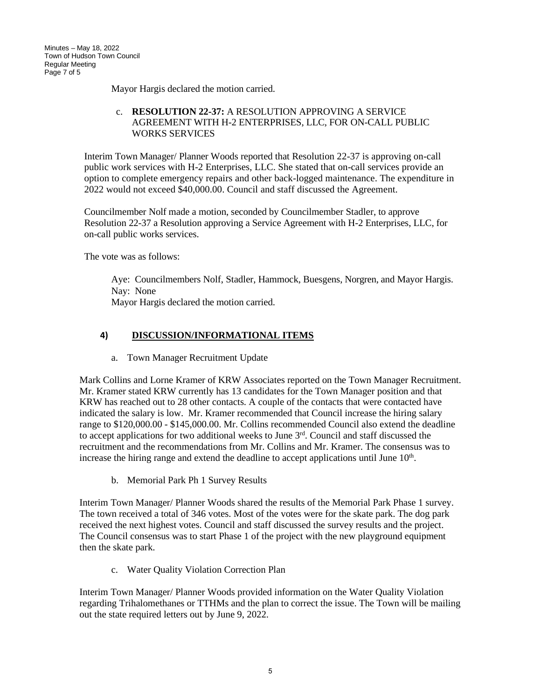Mayor Hargis declared the motion carried.

### c. **RESOLUTION 22-37:** A RESOLUTION APPROVING A SERVICE AGREEMENT WITH H-2 ENTERPRISES, LLC, FOR ON-CALL PUBLIC WORKS SERVICES

Interim Town Manager/ Planner Woods reported that Resolution 22-37 is approving on-call public work services with H-2 Enterprises, LLC. She stated that on-call services provide an option to complete emergency repairs and other back-logged maintenance. The expenditure in 2022 would not exceed \$40,000.00. Council and staff discussed the Agreement.

Councilmember Nolf made a motion, seconded by Councilmember Stadler, to approve Resolution 22-37 a Resolution approving a Service Agreement with H-2 Enterprises, LLC, for on-call public works services.

The vote was as follows:

Aye: Councilmembers Nolf, Stadler, Hammock, Buesgens, Norgren, and Mayor Hargis. Nay: None Mayor Hargis declared the motion carried.

## **4) DISCUSSION/INFORMATIONAL ITEMS**

a. Town Manager Recruitment Update

Mark Collins and Lorne Kramer of KRW Associates reported on the Town Manager Recruitment. Mr. Kramer stated KRW currently has 13 candidates for the Town Manager position and that KRW has reached out to 28 other contacts. A couple of the contacts that were contacted have indicated the salary is low. Mr. Kramer recommended that Council increase the hiring salary range to \$120,000.00 - \$145,000.00. Mr. Collins recommended Council also extend the deadline to accept applications for two additional weeks to June  $3<sup>rd</sup>$ . Council and staff discussed the recruitment and the recommendations from Mr. Collins and Mr. Kramer. The consensus was to increase the hiring range and extend the deadline to accept applications until June  $10<sup>th</sup>$ .

b. Memorial Park Ph 1 Survey Results

Interim Town Manager/ Planner Woods shared the results of the Memorial Park Phase 1 survey. The town received a total of 346 votes. Most of the votes were for the skate park. The dog park received the next highest votes. Council and staff discussed the survey results and the project. The Council consensus was to start Phase 1 of the project with the new playground equipment then the skate park.

c. Water Quality Violation Correction Plan

Interim Town Manager/ Planner Woods provided information on the Water Quality Violation regarding Trihalomethanes or TTHMs and the plan to correct the issue. The Town will be mailing out the state required letters out by June 9, 2022.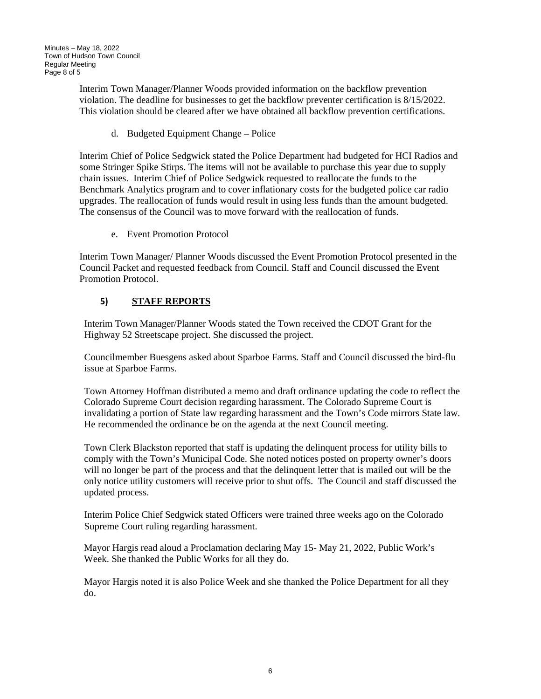Interim Town Manager/Planner Woods provided information on the backflow prevention violation. The deadline for businesses to get the backflow preventer certification is 8/15/2022. This violation should be cleared after we have obtained all backflow prevention certifications.

d. Budgeted Equipment Change – Police

Interim Chief of Police Sedgwick stated the Police Department had budgeted for HCI Radios and some Stringer Spike Stirps. The items will not be available to purchase this year due to supply chain issues. Interim Chief of Police Sedgwick requested to reallocate the funds to the Benchmark Analytics program and to cover inflationary costs for the budgeted police car radio upgrades. The reallocation of funds would result in using less funds than the amount budgeted. The consensus of the Council was to move forward with the reallocation of funds.

e. Event Promotion Protocol

Interim Town Manager/ Planner Woods discussed the Event Promotion Protocol presented in the Council Packet and requested feedback from Council. Staff and Council discussed the Event Promotion Protocol.

## **5) STAFF REPORTS**

Interim Town Manager/Planner Woods stated the Town received the CDOT Grant for the Highway 52 Streetscape project. She discussed the project.

Councilmember Buesgens asked about Sparboe Farms. Staff and Council discussed the bird-flu issue at Sparboe Farms.

Town Attorney Hoffman distributed a memo and draft ordinance updating the code to reflect the Colorado Supreme Court decision regarding harassment. The Colorado Supreme Court is invalidating a portion of State law regarding harassment and the Town's Code mirrors State law. He recommended the ordinance be on the agenda at the next Council meeting.

Town Clerk Blackston reported that staff is updating the delinquent process for utility bills to comply with the Town's Municipal Code. She noted notices posted on property owner's doors will no longer be part of the process and that the delinquent letter that is mailed out will be the only notice utility customers will receive prior to shut offs. The Council and staff discussed the updated process.

Interim Police Chief Sedgwick stated Officers were trained three weeks ago on the Colorado Supreme Court ruling regarding harassment.

Mayor Hargis read aloud a Proclamation declaring May 15- May 21, 2022, Public Work's Week. She thanked the Public Works for all they do.

Mayor Hargis noted it is also Police Week and she thanked the Police Department for all they do.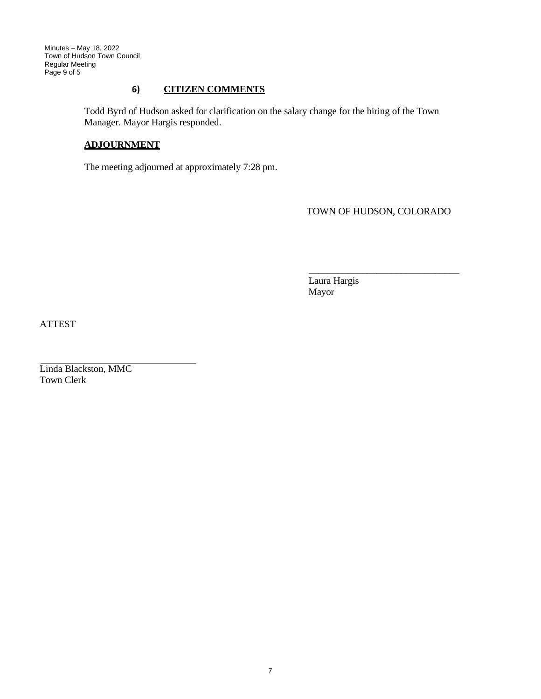Minutes – May 18, 2022 Town of Hudson Town Council Regular Meeting Page 9 of 5

### **6) CITIZEN COMMENTS**

Todd Byrd of Hudson asked for clarification on the salary change for the hiring of the Town Manager. Mayor Hargis responded.

#### **ADJOURNMENT**

The meeting adjourned at approximately 7:28 pm.

TOWN OF HUDSON, COLORADO

 \_\_\_\_\_\_\_\_\_\_\_\_\_\_\_\_\_\_\_\_\_\_\_\_\_\_\_\_\_\_\_ Laura Hargis Mayor

ATTEST

Linda Blackston, MMC Town Clerk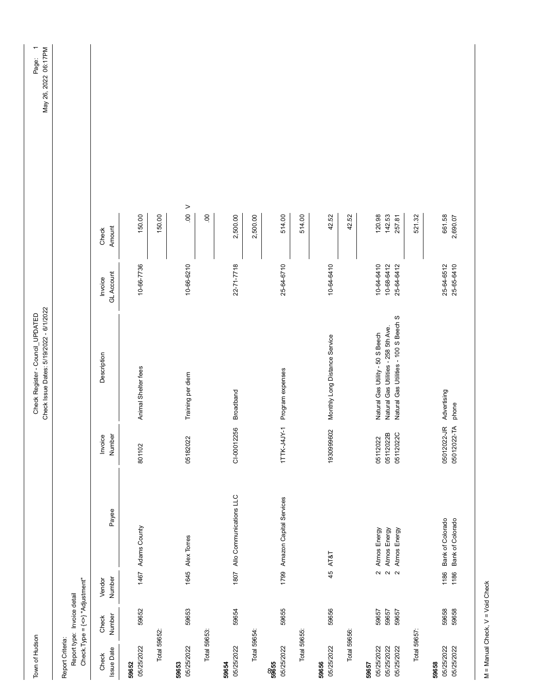| Town of Hudson                                  |                                                                      |                                                                         |                              |                                    | Check Issue Dates: 5/19/2022 - 6/1/2022<br>Check Register - Council_UPDATED                                       |                                        |                            | May 26, 2022 06:17PM<br>Page: |
|-------------------------------------------------|----------------------------------------------------------------------|-------------------------------------------------------------------------|------------------------------|------------------------------------|-------------------------------------------------------------------------------------------------------------------|----------------------------------------|----------------------------|-------------------------------|
| Report Criteria:                                | Check. Type = $\{\leq\}$ "Adjustment"<br>Report type: Invoice detail |                                                                         |                              |                                    |                                                                                                                   |                                        |                            |                               |
| <b>Issue Date</b><br>Check                      | Number<br>Check                                                      | Number<br>Vendor                                                        | Payee                        | Number<br>Invoice                  | Description                                                                                                       | <b>GL Account</b><br>Invoice           | Amount<br>Check            |                               |
| 05/25/2022<br>59652                             | 59652                                                                | 1467 Adams County                                                       |                              | 801102                             | Animal Shelter fees                                                                                               | 10-66-7736                             | 150.00                     |                               |
| Total 59652:                                    |                                                                      |                                                                         |                              |                                    |                                                                                                                   |                                        | 150.00                     |                               |
| 05/25/2022<br>59653                             | 59653                                                                | 1645 Alex Torres                                                        |                              | 05182022                           | Training per diem                                                                                                 | 10-66-6210                             | $\geq$<br>$\overline{0}$   |                               |
| Total 59653:                                    |                                                                      |                                                                         |                              |                                    |                                                                                                                   |                                        | $\mathsf{S}$               |                               |
| 05/25/2022<br>59654                             | 59654                                                                |                                                                         | 1807 Allo Communications LLC | CI-00012256                        | <b>Broadband</b>                                                                                                  | 22-71-7718                             | 2,500.00                   |                               |
| Total 59654:                                    |                                                                      |                                                                         |                              |                                    |                                                                                                                   |                                        | 2,500.00                   |                               |
| 05/25/2022<br>88655                             | 59655                                                                |                                                                         | 1799 Amazon Capital Services | 1TTK-J4JY-1                        | Program expenses                                                                                                  | 25-64-6710                             | 514.00                     |                               |
| Total 59655:                                    |                                                                      |                                                                         |                              |                                    |                                                                                                                   |                                        | 514.00                     |                               |
| 05/25/2022<br>59656                             | 59656                                                                | 45 AT&T                                                                 |                              | 1930999602                         | Monthly Long Distance Service                                                                                     | $10 - 64 - 6410$                       | 42.52                      |                               |
| Total 59656:                                    |                                                                      |                                                                         |                              |                                    |                                                                                                                   |                                        | 42.52                      |                               |
| 05/25/2022<br>05/25/2022<br>05/25/2022<br>59657 | 59657<br>59657<br>59657                                              | Atmos Energy<br>Atmos Energy<br>Atmos Energy<br>$\sim$<br>$\sim$ $\sim$ |                              | 05112022B<br>05112022C<br>05112022 | Natural Gas Utilities - 100 S Beech S<br>Natural Gas Utilities - 258 5th Ave.<br>Natural Gas Utility - 50 S Beech | 10-64-6410<br>10-68-6412<br>25-64-6412 | 120.98<br>142.53<br>257.81 |                               |
| Total 59657:                                    |                                                                      |                                                                         |                              |                                    |                                                                                                                   |                                        | 521.32                     |                               |
| 05/25/2022<br>05/25/2022<br>59658               | 59658<br>59658                                                       | Bank of Colorado<br><b>Bank of Colorado</b><br>1186<br>1186             |                              | 05012022-JR<br>05012022-TA         | Advertising<br>phone                                                                                              | 25-64-6512<br>25-65-6410               | 661.58<br>2,690.07         |                               |

M = Manual Check, V = Void Check M = Manual Check, V = Void Check

Page: 1<br>May 26, 2022 06:17PM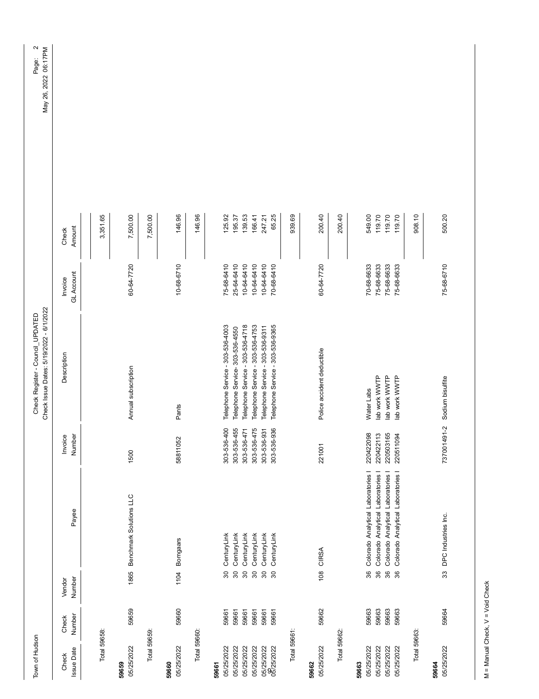| Town of Hudson             |                 |                            |                                    |                            | Check Issue Dates: 5/19/2022 - 6/1/2022<br>Check Register - Council_UPDATED |                                |                  | $\sim$<br>May 26, 2022 06:17PM<br>Page: |
|----------------------------|-----------------|----------------------------|------------------------------------|----------------------------|-----------------------------------------------------------------------------|--------------------------------|------------------|-----------------------------------------|
| <b>Issue Date</b><br>Check | Number<br>Check | Number<br>Vendor           | Payee                              | Number<br>Invoice          | Description                                                                 | <b>GL Account</b><br>Invoice   | Amount<br>Check  |                                         |
|                            |                 |                            |                                    |                            |                                                                             |                                |                  |                                         |
| Total 59658:               |                 |                            |                                    |                            |                                                                             |                                | 3,351.65         |                                         |
| 05/25/2022<br>59659        | 59659           |                            | 1865 Benchmark Solutions LLC       | 1500                       | Annual subscription                                                         | 60-64-7720                     | 7,500.00         |                                         |
| Total 59659:               |                 |                            |                                    |                            |                                                                             |                                | 7,500.00         |                                         |
| 05/25/2022<br>59660        | 59660           | 1104                       | <b>Bomgaars</b>                    | 58811052                   | Pants                                                                       | 10-68-6710                     | 146.96           |                                         |
| Total 59660:               |                 |                            |                                    |                            |                                                                             |                                | 146.96           |                                         |
| 59661                      |                 |                            |                                    |                            |                                                                             |                                |                  |                                         |
| 05/25/2022                 | 59661           | 80                         | CenturyLink                        | 303-536-400                | Telephone Service - 303-536-4003                                            | 75-68-6410                     | 125.92           |                                         |
| 05/25/2022                 | 59661           | $\infty$                   | CenturyLink                        | 303-536-455                | Telephone Service- 303-536-4550                                             | 25-64-6410                     | 195.37           |                                         |
| 05/25/2022<br>05/25/2022   | 59661<br>59661  | $\approx$<br>$\infty$      | CenturyLink<br>CenturyLink         | 303-536-475<br>303-536-471 | Telephone Service - 303-536-4718<br>Telephone Service - 303-536-4753        | $10 - 64 - 6410$<br>10-64-6410 | 139.53<br>166.41 |                                         |
|                            | 59661           | $\boldsymbol{\mathcal{S}}$ | CenturyLink                        | 303-536-931                | Telephone Service - 303-536-9311                                            | 10-64-6410                     | 247.21           |                                         |
| 05/25/2022<br>05/25/2022   | 59661           | $\approx$                  | CenturyLink                        | 303-536-936                | Telephone Service - 303-536-9365                                            | 70-68-6410                     | 65.25            |                                         |
| Total 59661:               |                 |                            |                                    |                            |                                                                             |                                | 939.69           |                                         |
| 59662                      |                 |                            |                                    |                            |                                                                             |                                |                  |                                         |
| 05/25/2022                 | 59662           |                            | 108 CIRSA                          | 221001                     | Police accident deductible                                                  | 60-64-7720                     | 200.40           |                                         |
| Total 59662:               |                 |                            |                                    |                            |                                                                             |                                | 200.40           |                                         |
| 05/25/2022<br>59663        | 59663           | 36                         | Colorado Analytical Laboratories I | 220422098                  | Water Labs                                                                  | 70-68-6633                     | 549.00           |                                         |
| 05/25/2022                 | 59663           | 36                         | Colorado Analytical Laboratories I | 220422113                  | lab work WWTP                                                               | 75-68-6633                     | 119.70           |                                         |
| 05/25/2022                 | 59663           | $36\,$                     | Colorado Analytical Laboratories   | 220503165                  | lab work WWTP                                                               | 75-68-6633                     | 119.70           |                                         |
| 05/25/2022                 | 59663           | 86                         | Colorado Analytical Laboratories I | 220511094                  | lab work WWTP                                                               | 75-68-6633                     | 119.70           |                                         |
| Total 59663:               |                 |                            |                                    |                            |                                                                             |                                | 908.10           |                                         |
| 05/25/2022<br>59664        | 59664           |                            | 33 DPC Industries Inc.             | 737001491-2                | Sodium bisulfite                                                            | 75-68-6710                     | 500.20           |                                         |
|                            |                 |                            |                                    |                            |                                                                             |                                |                  |                                         |

M = Manual Check, V = Void Check M = Manual Check, V = Void Check

Page: 2<br>y 26, 2022 06:17PM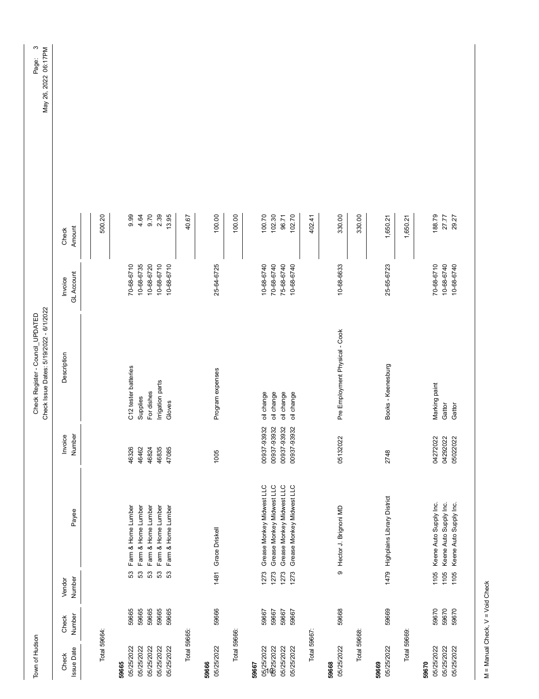| Town of Hudson                                  |                         |                      |                                                                                     |                                           | Check Issue Dates: 5/19/2022 - 6/1/2022<br>Check Register - Council_UPDATED |                                        |                           |
|-------------------------------------------------|-------------------------|----------------------|-------------------------------------------------------------------------------------|-------------------------------------------|-----------------------------------------------------------------------------|----------------------------------------|---------------------------|
| <b>Issue Date</b><br>Check                      | Number<br>Check         | Number<br>Vendor     | Payee                                                                               | Number<br>Invoice                         | Description                                                                 | <b>GL Account</b><br>Invoice           | Amount<br>Check           |
| Total 59664:                                    |                         |                      |                                                                                     |                                           |                                                                             |                                        | 500.20                    |
| 05/25/2022<br>59665                             | 59665                   | 53                   | Farm & Home Lumber                                                                  | 46326                                     | C12 tester batteries                                                        | 70-68-6710                             | 0.99                      |
| 05/25/2022<br>05/25/2022                        | 59665<br>59665          | 53<br>53             | Farm & Home Lumber<br>Farm & Home Lumber                                            | 46462<br>46824                            | For dishes<br>Supplies                                                      | 10-68-6720<br>10-68-6735               | 9.70<br>4.64              |
| 05/25/2022<br>05/25/2022                        | 59665<br>59665          | 53<br>53             | Farm & Home Lumber<br>Farm & Home Lumber                                            | 46835<br>47085                            | Irrigation parts<br>Gloves                                                  | 10-68-6710<br>10-68-6710               | 2.39<br>13.95             |
| Total 59665:                                    |                         |                      |                                                                                     |                                           |                                                                             |                                        | 40.67                     |
| 05/25/2022<br>59666                             | 59666                   |                      | 1481 Grace Driskell                                                                 | 1005                                      | Program expenses                                                            | 25-64-6725                             | 100.00                    |
| Total 59666:                                    |                         |                      |                                                                                     |                                           |                                                                             |                                        | 100.00                    |
| 05/25/2022<br>05/25/2022<br>08725/2022<br>59667 | 59667<br>59667<br>59667 | 1273<br>1273<br>1273 | Grease Monkey Midwest LLC<br>Grease Monkey Midwest LLC<br>Grease Monkey Midwest LLC | 00937-93932<br>00937-93932<br>00937-93932 | oil change<br>oil change<br>oil change                                      | 70-68-6740<br>75-68-6740<br>10-68-6740 | 100.70<br>102.30<br>96.71 |
| Total 59667:<br>05/25/2022                      | 59667                   | 1273                 | Grease Monkey Midwest LLC                                                           | 00937-93932                               | oil change                                                                  | 10-68-6740                             | 102.70<br>402.41          |
| 05/25/2022<br>59668                             | 59668                   |                      | 9 Hector J. Brignoni MD                                                             | 05132022                                  | Pre Employment Physical - Cook                                              | 10-68-6633                             | 330.00                    |
| Total 59668:                                    |                         |                      |                                                                                     |                                           |                                                                             |                                        | 330.00                    |
| 05/25/2022<br>59669                             | 59669                   |                      | 1479 Highplains Library District                                                    | 2748                                      | Books - Keenesburg                                                          | 25-65-6723                             | 1,650.21                  |
| Total 59669:                                    |                         |                      |                                                                                     |                                           |                                                                             |                                        | 1,650.21                  |
| 05/25/2022<br>05/25/2022<br>05/25/2022<br>59670 | 59670<br>59670<br>59670 | 1105<br>1105<br>1105 | Keene Auto Supply Inc.<br>Keene Auto Supply Inc.<br>Keene Auto Supply Inc.          | 04272022<br>04292022<br>05022022          | Marking paint<br>Gattor<br>Gattor                                           | 70-68-6710<br>10-68-6740<br>10-68-6740 | 188.79<br>27.77<br>29.27  |

M = Manual Check, V = Void Check M = Manual Check, V = Void Check

Page: 3<br>2022 06:17PM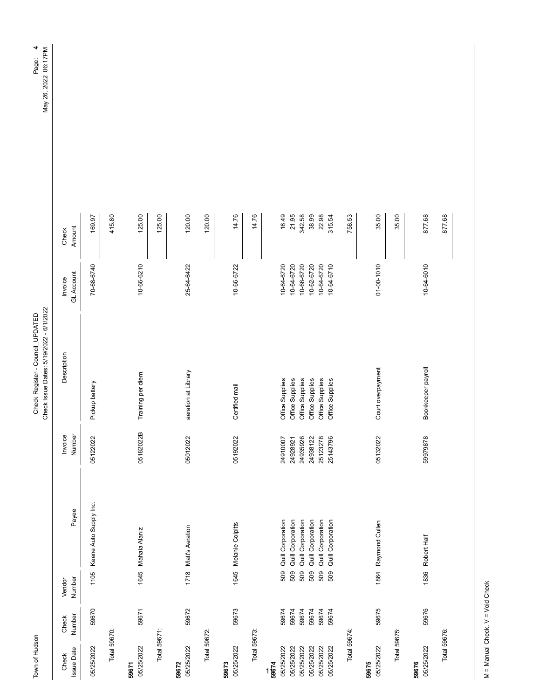| Town of Hudson             |                 |                  |                                        |                      | Check Issue Dates: 5/19/2022 - 6/1/2022<br>Check Register - Council_UPDATED |                              |                 | 4<br>May 26, 2022 06:17PM<br>Page: |
|----------------------------|-----------------|------------------|----------------------------------------|----------------------|-----------------------------------------------------------------------------|------------------------------|-----------------|------------------------------------|
| <b>Issue Date</b><br>Check | Number<br>Check | Number<br>Vendor | Payee                                  | Number<br>Invoice    | Description                                                                 | <b>GL Account</b><br>Invoice | Amount<br>Check |                                    |
| 05/25/2022                 | 59670           | 1105             | Keene Auto Supply Inc.                 | 05122022             | Pickup battery                                                              | 70-68-6740                   | 169.97          |                                    |
| Total 59670:               |                 |                  |                                        |                      |                                                                             |                              | 415.80          |                                    |
| 05/25/2022<br>59671        | 59671           |                  | 1645 Mahaia Alaniz                     | $\bf{m}$<br>05182022 | Training per diem                                                           | 10-66-6210                   | 125.00          |                                    |
| Total 59671:               |                 |                  |                                        |                      |                                                                             |                              | 125.00          |                                    |
| 05/25/2022<br>59672        | 59672           |                  | 1718 Matt's Aeration                   | 05012022             | aeration at Library                                                         | 25-64-6422                   | 120.00          |                                    |
| Total 59672:               |                 |                  |                                        |                      |                                                                             |                              | 120.00          |                                    |
| 05/25/2022<br>59673        | 59673           |                  | 1645 Melanie Colpitts                  | 05192022             | Certified mail                                                              | 10-66-6722                   | 14.76           |                                    |
| Total 59673:               |                 |                  |                                        |                      |                                                                             |                              | 14.76           |                                    |
| $1\frac{1}{9674}$          |                 |                  |                                        |                      |                                                                             |                              |                 |                                    |
| 05/25/2022<br>05/25/2022   | 59674<br>59674  | 509<br>509       | Quill Corporation<br>Quill Corporation | 24910007<br>24928921 | Office Supplies<br>Office Supplies                                          | 10-64-6720<br>10-64-6720     | 16.49<br>21.95  |                                    |
| 05/25/2022                 | 59674           | 509              | Quill Corporation                      | 24935926             | Office Supplies                                                             | 10-66-6720                   | 342.58          |                                    |
| 05/25/2022                 | 59674           | 509              | Quill Corporation                      | 24938122             | Office Supplies                                                             | 10-62-6720                   | 38.99           |                                    |
| 05/25/2022<br>05/25/2022   | 59674<br>59674  | 509<br>509       | Quill Corporation<br>Quill Corporation | 25123278<br>25143796 | Office Supplies<br>Office Supplies                                          | 10-64-6720<br>10-64-6710     | 22.98<br>315.54 |                                    |
| Total 59674:               |                 |                  |                                        |                      |                                                                             |                              | 758.53          |                                    |
| 05/25/2022<br>59675        | 59675           |                  | 1864 Raymond Cullen                    | 05132022             | Court overpayment                                                           | 01-00-1010                   | 35.00           |                                    |
| Total 59675:               |                 |                  |                                        |                      |                                                                             |                              | 35.00           |                                    |
| 05/25/2022<br>59676        | 59676           |                  | 1836 Robert Half                       | 59979878             | Bookkeeper payroll                                                          | 10-64-6010                   | 877.68          |                                    |
| Total 59676:               |                 |                  |                                        |                      |                                                                             |                              | 877.68          |                                    |
|                            |                 |                  |                                        |                      |                                                                             |                              |                 |                                    |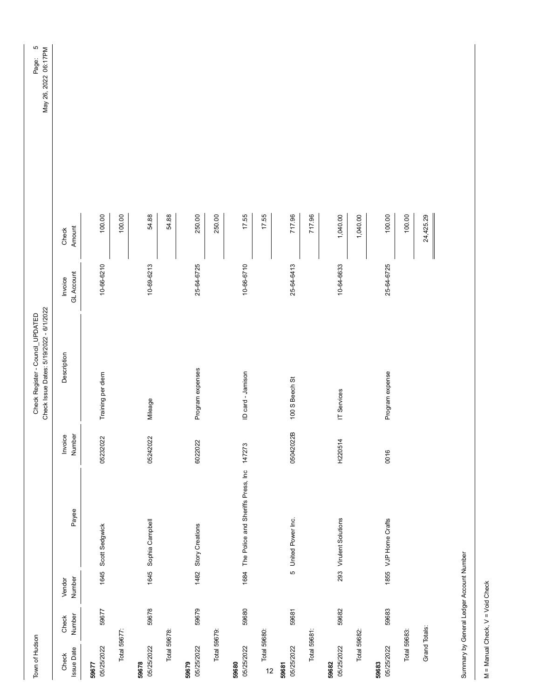| Town of Hudson       |        |        |                                                |           | Check Issue Dates: 5/19/2022 - 6/1/2022<br>Check Register - Council_UPDATED |                   |           | $\overline{6}$<br>May 26, 2022 06:17PM<br>Page: |
|----------------------|--------|--------|------------------------------------------------|-----------|-----------------------------------------------------------------------------|-------------------|-----------|-------------------------------------------------|
|                      |        |        |                                                |           |                                                                             |                   |           |                                                 |
| Check                | Check  | Vendor |                                                | Invoice   | Description                                                                 | Invoice           | Check     |                                                 |
| <b>Issue Date</b>    | Number | Number | Payee                                          | Number    |                                                                             | <b>GL Account</b> | Amount    |                                                 |
| 59677                |        |        |                                                |           |                                                                             |                   |           |                                                 |
| 05/25/2022           | 59677  |        | 1645 Scott Sedgwick                            | 05232022  | Training per diem                                                           | 10-66-6210        | 100.00    |                                                 |
| Total 59677:         |        |        |                                                |           |                                                                             |                   | 100.00    |                                                 |
| 05/25/2022<br>59678  | 59678  |        | 1645 Sophia Campbell                           | 05242022  | Mileage                                                                     | 10-69-6213        | 54.88     |                                                 |
|                      |        |        |                                                |           |                                                                             |                   |           |                                                 |
| Total 59678:         |        |        |                                                |           |                                                                             |                   | 54.88     |                                                 |
| 05/25/2022<br>59679  | 59679  |        | 1482 Story Creations                           | 6022022   | Program expenses                                                            | 25-64-6725        | 250.00    |                                                 |
| Total 59679:         |        |        |                                                |           |                                                                             |                   | 250.00    |                                                 |
| 59680                |        |        |                                                |           |                                                                             |                   |           |                                                 |
| 05/25/2022           | 59680  |        | 1684 The Police and Sheriffs Press, Inc 147273 |           | ID card - Jamison                                                           | 10-66-6710        | 17.55     |                                                 |
| Total 59680:<br>$12$ |        |        |                                                |           |                                                                             |                   | 17.55     |                                                 |
| 05/25/2022<br>59681  | 59681  |        | 5 United Power Inc.                            | 05042022B | 100 S Beech St                                                              | 25-64-6413        | 717.96    |                                                 |
|                      |        |        |                                                |           |                                                                             |                   |           |                                                 |
| Total 59681:         |        |        |                                                |           |                                                                             |                   | 717.96    |                                                 |
| 05/25/2022<br>59682  | 59682  |        | 293 Virulent Solutions                         | H220514   | IT Services                                                                 | 10-64-6633        | 1,040.00  |                                                 |
| Total 59682:         |        |        |                                                |           |                                                                             |                   | 1,040.00  |                                                 |
| 05/25/2022<br>59683  | 59683  |        | 1855 VJP Home Crafts                           | 0016      | Program expense                                                             | 25-64-6725        | 100.00    |                                                 |
| Total 59683:         |        |        |                                                |           |                                                                             |                   | 100.00    |                                                 |
|                      |        |        |                                                |           |                                                                             |                   |           |                                                 |
| Grand Totals:        |        |        |                                                |           |                                                                             |                   | 24,425.29 |                                                 |
|                      |        |        |                                                |           |                                                                             |                   |           |                                                 |

Summary by General Ledger Account Number Summary by General Ledger Account Number

M = Manual Check, V = Void Check M = Manual Check, V = Void Check

 $\overline{\phantom{a}}$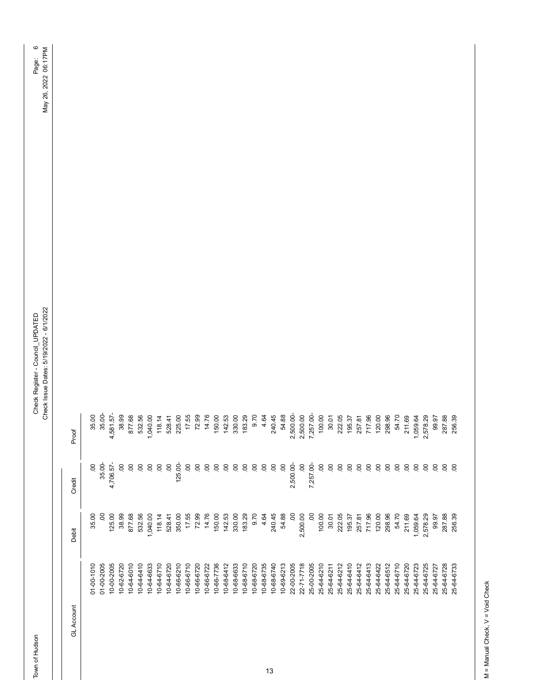Town of Hudson

GL Account Debit Credit Proof

Debit

**GL Account** 

Proof

Credit

Town of Hudson Council\_UPDATED ATED ATED Check Register - Council\_UPDATED Page: 6 Check Issue Dates: 5/19/2022 - 6/1/2022 - 6/1/2022 - 6/1/2022 Check Register - Council\_UPDATED<br>Check Issue Dates: 5/19/2022 - 6/1/2022

| 01-00-1010 | 35.00               | 00             | 35.00    |
|------------|---------------------|----------------|----------|
| 01-00-2005 | $\ddot{\mathbf{S}}$ | 35.00-         | 35.00-   |
| 10-00-2005 | 125.00              | 4,706.57-      | 4,581.57 |
| 10-62-6720 | 38.99               | S              | 38.99    |
| 10-64-6010 | 877.68              | $\overline{0}$ | 877.68   |
| 10-64-6410 | 532.56              | $\mathbf{S}$   | 532.56   |
| 10-64-6633 | 1,040.00            | S              | 1,040.00 |
| 10-64-6710 | 118.14              | S              | 118.14   |
| 10-64-6720 | 528.41              | 00             | 528.41   |
| 10-66-6210 | 350.00              | 125.00-        | 225.00   |
| 10-66-6710 | 17.55               | S              | 17.55    |
| 10-66-6720 | 72.99               | S              | 72.99    |
| 10-66-6722 | 14.76               | S.             | 14.76    |
| 10-66-7736 | 150.00              | $\overline{0}$ | 150.00   |
| 10-68-6412 | 142.53              | S              | 142.53   |
| 10-68-6633 | 330.00              | S              | 330.00   |
| 10-68-6710 | 183.29              | S              | 183.29   |
| 10-68-6720 | 9.70                | S              | 9.70     |
| 10-68-6735 | 4.64                | S              | 4.64     |
| 10-68-6740 | 240.45              | OO.            | 240.45   |
| 10-69-6213 | 54.88               | S.             | 54.88    |
| 22-00-2005 | $\overline{0}$      | 2,500.00-      | 2,500.00 |
| 22-71-7718 | 2,500.00            | $\overline{0}$ | 2,500.00 |
| 25-00-2005 | S                   | 7,257.00       | 7,257.00 |
| 25-64-6210 | 100.00              | OO.            | 100.00   |
| 25-64-6211 | 30.01               | S              | 30.01    |
| 25-64-6212 | 222.05              | S              | 222.05   |
| 25-64-6410 | 195.37              | S              | 195.37   |
| 25-64-6412 | 257.81              | S              | 257.81   |
| 25-64-6413 | 717.96              | S              | 717.96   |
| 25-64-6422 | 120.00              | S.             | 120.00   |
| 25-64-6512 | 298.96              | S              | 298.96   |
| 25-64-6710 | 54.70               | S              | 54.70    |
| 25-64-6720 | 211.69              | S              | 211.69   |
| 25-64-6723 | 1,059.64            | S              | 1,059.64 |
| 25-64-6725 | 2,578.29            | S              | 2,578.29 |
| 25-64-6727 | 99.97               | S              | 99.97    |
| 25-64-6728 | 287.88              | S              | 287.88   |
| 25-64-6733 | 256.39              | S              | 256.39   |

13

M = Manual Check, V = Void Check M = Manual Check, V = Void Check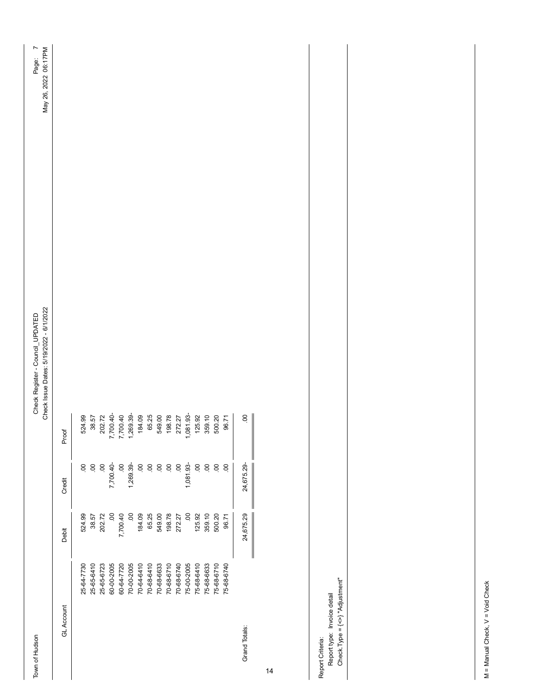Town of Hudson

Town of Hudson Council\_UPDATED ATED ATED Check Register - Council\_UPDATED Page: 7 Check Issue Dates: 5/19/2022 - 6/1/2022 - 6/1/2022 - 6/1/2022 Check Register - Council\_UPDATED<br>Check Issue Dates: 5/19/2022 - 6/1/2022

| GL Account    |            | Debit     | Credit     | Proof     |
|---------------|------------|-----------|------------|-----------|
|               | 25-64-7730 | 524.99    | S.         | 524.99    |
|               | 25-65-6410 | 38.57     | S          | 38.57     |
|               | 25-65-6723 | 202.72    | S          | 202.72    |
|               | 60-00-2005 | S.        | $-0.7001$  | 7,700.40  |
|               | 60-64-7720 | 7,700.40  | S          | 7,700.40  |
|               | 70-00-2005 | S         | 1,269.39-  | 1,269.39- |
|               | 70-64-6410 | 184.09    | S          | 184.09    |
|               | 70-68-6410 | 65.25     | S          | 65.25     |
|               | 70-68-6633 | 549.00    | S          | 549.00    |
|               | 70-68-6710 | 198.78    | S          | 198.78    |
|               | 70-68-6740 | 272.27    | S.         | 272.27    |
|               | 75-00-2005 | S         | 1,081.93   | 1,081.93- |
|               | 75-68-6410 | 125.92    | S.         | 125.92    |
|               | 75-68-6633 | 359.10    | S.         | 359.10    |
|               | 75-68-6710 | 500.20    | S.         | 500.20    |
|               | 75-68-6740 | 96.71     | S.         | 96.71     |
| Grand Totals: |            | 24,675.29 | 24,675.29- | S         |
|               |            |           |            |           |

14

Report type: Invoice detail<br>Check.Type = {<>} "Adjustment" Check.Type = {<>} "Adjustment" Report type: Invoice detail Report Criteria: Report Criteria: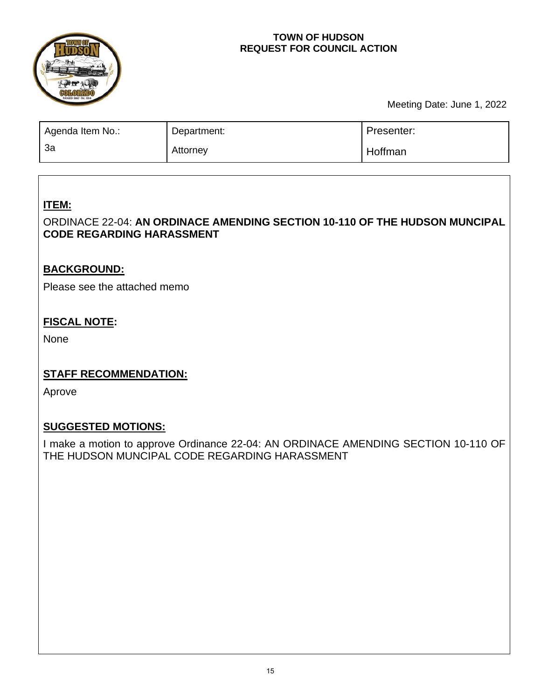

## **TOWN OF HUDSON REQUEST FOR COUNCIL ACTION**

Meeting Date: June 1, 2022

| Agenda Item No.: | Department: | Presenter: |
|------------------|-------------|------------|
| За               | Attorney    | Hoffman    |

# **ITEM:**

# ORDINA 1CE 22-04AN ORDINANCE AMENDING SECTION 10-110 OF THE HUDSON **MUNCIPAL CODE REGARDING HARASSMENT**

# **BACKGROUND:**

Please see the attached memo

# **FISCAL NOTE:**

None

# **STAFF RECOMMENDATION:**

Aprove

# **SUGGESTED MOTIONS:**

I make a motion to approve Ordinance 22-04: AN ORDINA 1CE AMENDING SECTION 10-10 OF THE HUDSON MUNCIPAL CODE REGARDING HARASSMENT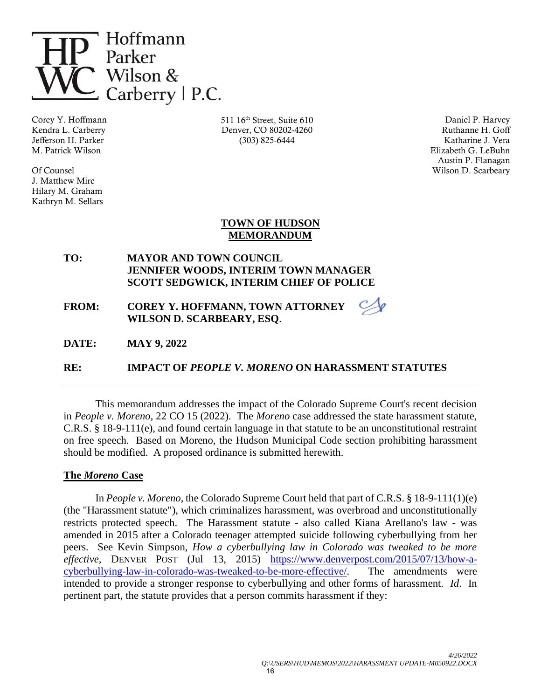

Corey Y. Hoffmann Kendra L. Carberry Jefferson H. Parker M. Patrick Wilson

Of Counsel J. Matthew Mire Hilary M. Graham Kathryn M. Sellars 511 16th Street, Suite 610 Denver, CO 80202-4260 (303) 825-6444

Daniel P. Harvey Ruthanne H. Goff Katharine J. Vera Elizabeth G. LeBuhn Austin P. Flanagan Wilson D. Scarbeary

### **TOWN OF HUDSON MEMORANDUM**

**TO: MAYOR AND TOWN COUNCIL JENNIFER WOODS, INTERIM TOWN MANAGER SCOTT SEDGWICK, INTERIM CHIEF OF POLICE** 

**FROM: COREY Y. HOFFMANN, TOWN ATTORNEY WILSON D. SCARBEARY, ESQ**.

**DATE: MAY 9, 2022**

**RE: IMPACT OF** *PEOPLE V. MORENO* **ON HARASSMENT STATUTES**

This memorandum addresses the impact of the Colorado Supreme Court's recent decision in *People v. Moreno*, 22 CO 15 (2022). The *Moreno* case addressed the state harassment statute, C.R.S. § 18-9-111(e), and found certain language in that statute to be an unconstitutional restraint on free speech. Based on Moreno, the Hudson Municipal Code section prohibiting harassment should be modified. A proposed ordinance is submitted herewith.

### **The** *Moreno* **Case**

In *People v. Moreno*, the Colorado Supreme Court held that part of C.R.S. § 18-9-111(1)(e) (the "Harassment statute"), which criminalizes harassment, was overbroad and unconstitutionally restricts protected speech. The Harassment statute - also called Kiana Arellano's law - was amended in 2015 after a Colorado teenager attempted suicide following cyberbullying from her peers. See Kevin Simpson, *How a cyberbullying law in Colorado was tweaked to be more effective*, DENVER POST (Jul 13, 2015) [https://www.denverpost.com/2015/07/13/how-a](https://www.denverpost.com/2015/07/13/how-a-cyberbullying-law-in-colorado-was-tweaked-to-be-more-effective/)[cyberbullying-law-in-colorado-was-tweaked-to-be-more-effective/.](https://www.denverpost.com/2015/07/13/how-a-cyberbullying-law-in-colorado-was-tweaked-to-be-more-effective/) The amendments were intended to provide a stronger response to cyberbullying and other forms of harassment. *Id*. In pertinent part, the statute provides that a person commits harassment if they: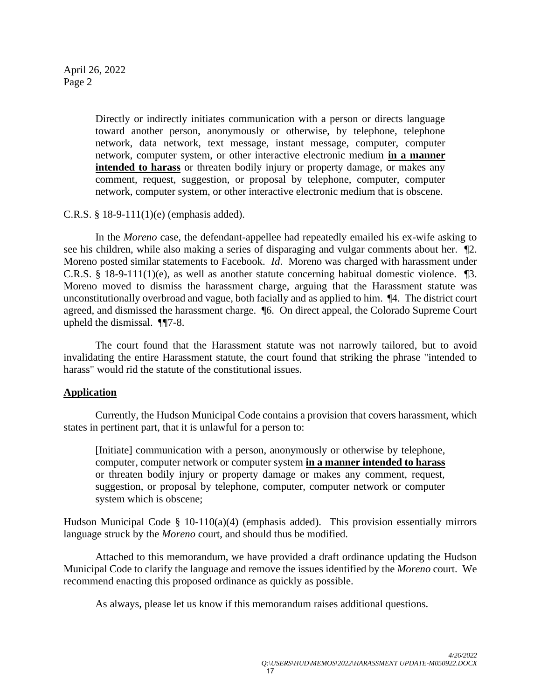April 26, 2022 Page 2

> Directly or indirectly initiates communication with a person or directs language toward another person, anonymously or otherwise, by telephone, telephone network, data network, text message, instant message, computer, computer network, computer system, or other interactive electronic medium **in a manner intended to harass** or threaten bodily injury or property damage, or makes any comment, request, suggestion, or proposal by telephone, computer, computer network, computer system, or other interactive electronic medium that is obscene.

C.R.S. § 18-9-111(1)(e) (emphasis added).

In the *Moreno* case, the defendant-appellee had repeatedly emailed his ex-wife asking to see his children, while also making a series of disparaging and vulgar comments about her. ¶2. Moreno posted similar statements to Facebook. *Id*. Moreno was charged with harassment under C.R.S. § 18-9-111(1)(e), as well as another statute concerning habitual domestic violence.  $\mathbb{I}3$ . Moreno moved to dismiss the harassment charge, arguing that the Harassment statute was unconstitutionally overbroad and vague, both facially and as applied to him. ¶4. The district court agreed, and dismissed the harassment charge. ¶6. On direct appeal, the Colorado Supreme Court upheld the dismissal. ¶¶7-8.

The court found that the Harassment statute was not narrowly tailored, but to avoid invalidating the entire Harassment statute, the court found that striking the phrase "intended to harass" would rid the statute of the constitutional issues.

### **Application**

Currently, the Hudson Municipal Code contains a provision that covers harassment, which states in pertinent part, that it is unlawful for a person to:

[Initiate] communication with a person, anonymously or otherwise by telephone, computer, computer network or computer system **in a manner intended to harass** or threaten bodily injury or property damage or makes any comment, request, suggestion, or proposal by telephone, computer, computer network or computer system which is obscene;

Hudson Municipal Code § 10-110(a)(4) (emphasis added). This provision essentially mirrors language struck by the *Moreno* court, and should thus be modified.

Attached to this memorandum, we have provided a draft ordinance updating the Hudson Municipal Code to clarify the language and remove the issues identified by the *Moreno* court. We recommend enacting this proposed ordinance as quickly as possible.

As always, please let us know if this memorandum raises additional questions.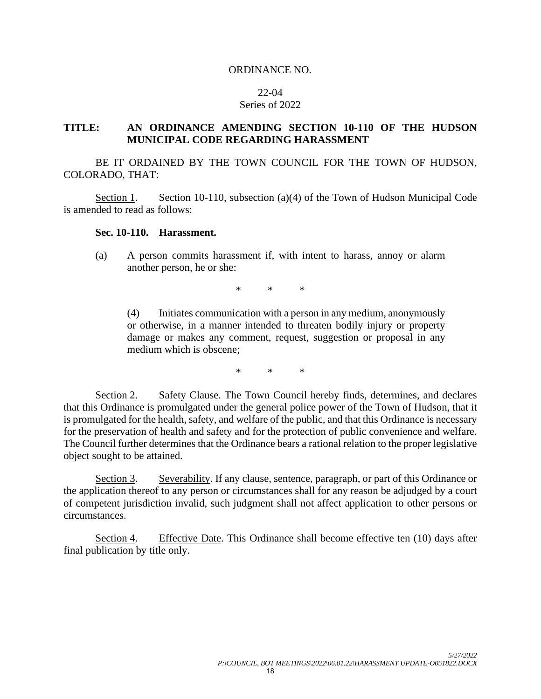#### ORDINANCE NO.

#### 22-04

#### Series of 2022

### **TITLE: AN ORDINANCE AMENDING SECTION 10-110 OF THE HUDSON MUNICIPAL CODE REGARDING HARASSMENT**

BE IT ORDAINED BY THE TOWN COUNCIL FOR THE TOWN OF HUDSON, COLORADO, THAT:

Section 1. Section 10-110, subsection (a)(4) of the Town of Hudson Municipal Code is amended to read as follows:

### **Sec. 10-110. Harassment.**

(a) A person commits harassment if, with intent to harass, annoy or alarm another person, he or she:

\* \* \*

(4) Initiates communication with a person in any medium, anonymously or otherwise, in a manner intended to threaten bodily injury or property damage or makes any comment, request, suggestion or proposal in any medium which is obscene;

\* \* \*

Section 2. Safety Clause. The Town Council hereby finds, determines, and declares that this Ordinance is promulgated under the general police power of the Town of Hudson, that it is promulgated for the health, safety, and welfare of the public, and that this Ordinance is necessary for the preservation of health and safety and for the protection of public convenience and welfare. The Council further determines that the Ordinance bears a rational relation to the proper legislative object sought to be attained.

Section 3. Severability. If any clause, sentence, paragraph, or part of this Ordinance or the application thereof to any person or circumstances shall for any reason be adjudged by a court of competent jurisdiction invalid, such judgment shall not affect application to other persons or circumstances.

Section 4. Effective Date. This Ordinance shall become effective ten (10) days after final publication by title only.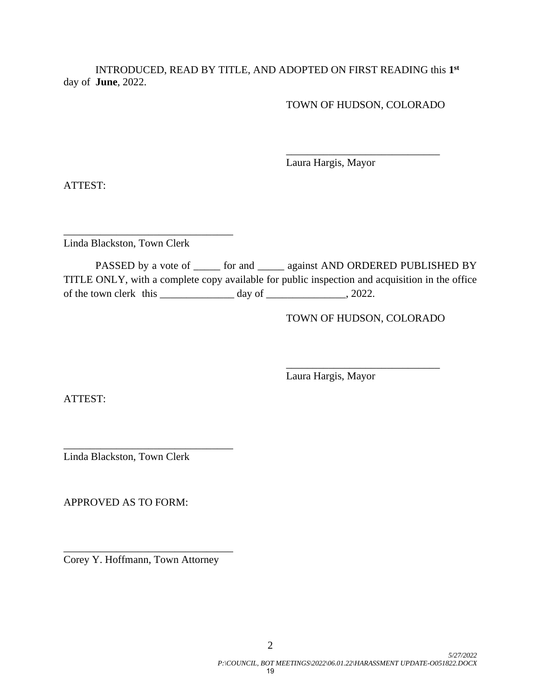INTRODUCED, READ BY TITLE, AND ADOPTED ON FIRST READING this **1st** day of **June**, 2022.

TOWN OF HUDSON, COLORADO

\_\_\_\_\_\_\_\_\_\_\_\_\_\_\_\_\_\_\_\_\_\_\_\_\_\_\_\_\_

Laura Hargis, Mayor

ATTEST:

\_\_\_\_\_\_\_\_\_\_\_\_\_\_\_\_\_\_\_\_\_\_\_\_\_\_\_\_\_\_\_\_ Linda Blackston, Town Clerk

PASSED by a vote of \_\_\_\_\_\_ for and \_\_\_\_\_ against AND ORDERED PUBLISHED BY TITLE ONLY, with a complete copy available for public inspection and acquisition in the office of the town clerk this  $\frac{1}{2}$  day of  $\frac{1}{2}$ , 2022.

TOWN OF HUDSON, COLORADO

\_\_\_\_\_\_\_\_\_\_\_\_\_\_\_\_\_\_\_\_\_\_\_\_\_\_\_\_\_

Laura Hargis, Mayor

ATTEST:

\_\_\_\_\_\_\_\_\_\_\_\_\_\_\_\_\_\_\_\_\_\_\_\_\_\_\_\_\_\_\_\_ Linda Blackston, Town Clerk

APPROVED AS TO FORM:

Corey Y. Hoffmann, Town Attorney

\_\_\_\_\_\_\_\_\_\_\_\_\_\_\_\_\_\_\_\_\_\_\_\_\_\_\_\_\_\_\_\_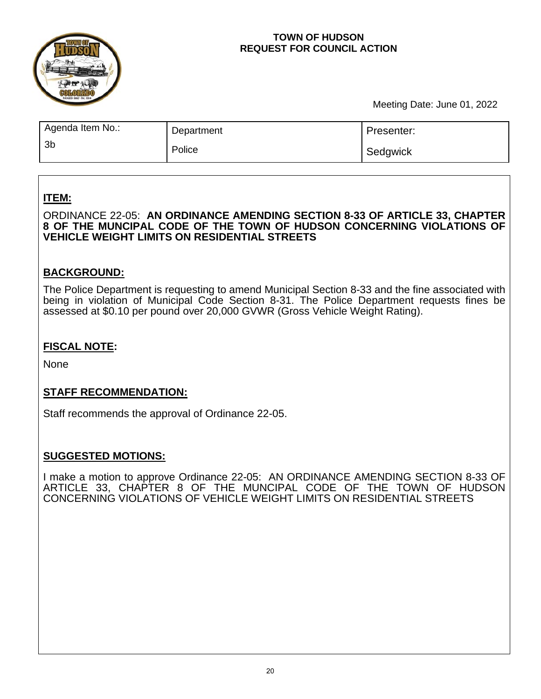

## **TOWN OF HUDSON REQUEST FOR COUNCIL ACTION**

Meeting Date: June 01, 2022

| Agenda Item No.: | Department | Presenter: |
|------------------|------------|------------|
| 3 <sub>b</sub>   | Police     | Sedgwick   |

# **ITEM:**

ORDINANCE 22-05: **AN ORDINANCE AMENDING SECTION 8-33 OF ARTICLE 33, CHAPTER 8 OF THE MUNCIPAL CODE OF THE TOWN OF HUDSON CONCERNING VIOLATIONS OF VEHICLE WEIGHT LIMITS ON RESIDENTIAL STREETS** 

# **BACKGROUND:**

The Police Department is requesting to amend Municipal Section 8-33 and the fine associated with being in violation of Municipal Code Section 8-31. The Police Department requests fines be assessed at \$0.10 per pound over 20,000 GVWR (Gross Vehicle Weight Rating).

## **FISCAL NOTE:**

None

## **STAFF RECOMMENDATION:**

Staff recommends the approval of Ordinance 22-05.

## **SUGGESTED MOTIONS:**

I make a motion to approve Ordinance 22-05: AN ORDINANCE AMENDING SECTION 8-33 OF ARTICLE 33, CHAPTER 8 OF THE MUNCIPAL CODE OF THE TOWN OF HUDSON CONCERNING VIOLATIONS OF VEHICLE WEIGHT LIMITS ON RESIDENTIAL STREETS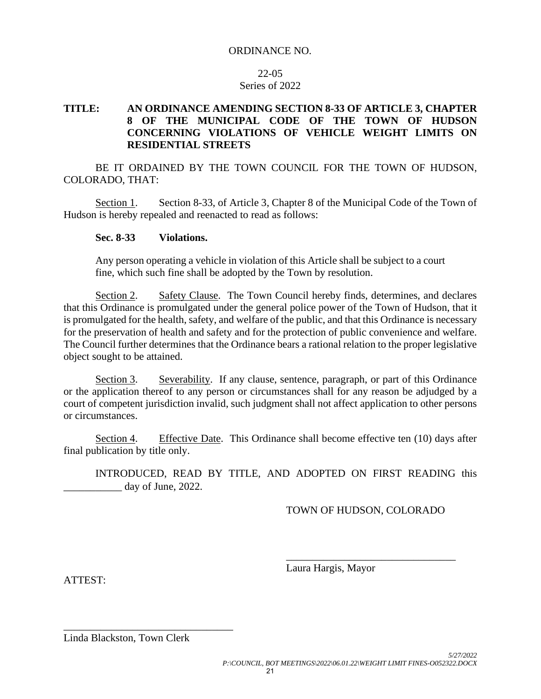### ORDINANCE NO.

### 22-05 Series of 2022

## **TITLE: AN ORDINANCE AMENDING SECTION 8-33 OF ARTICLE 3, CHAPTER 8 OF THE MUNICIPAL CODE OF THE TOWN OF HUDSON CONCERNING VIOLATIONS OF VEHICLE WEIGHT LIMITS ON RESIDENTIAL STREETS**

BE IT ORDAINED BY THE TOWN COUNCIL FOR THE TOWN OF HUDSON, COLORADO, THAT:

Section 1. Section 8-33, of Article 3, Chapter 8 of the Municipal Code of the Town of Hudson is hereby repealed and reenacted to read as follows:

### **Sec. 8-33 Violations.**

Any person operating a vehicle in violation of this Article shall be subject to a court fine, which such fine shall be adopted by the Town by resolution.

Section 2. Safety Clause. The Town Council hereby finds, determines, and declares that this Ordinance is promulgated under the general police power of the Town of Hudson, that it is promulgated for the health, safety, and welfare of the public, and that this Ordinance is necessary for the preservation of health and safety and for the protection of public convenience and welfare. The Council further determines that the Ordinance bears a rational relation to the proper legislative object sought to be attained.

Section 3. Severability. If any clause, sentence, paragraph, or part of this Ordinance or the application thereof to any person or circumstances shall for any reason be adjudged by a court of competent jurisdiction invalid, such judgment shall not affect application to other persons or circumstances.

Section 4. Effective Date. This Ordinance shall become effective ten (10) days after final publication by title only.

INTRODUCED, READ BY TITLE, AND ADOPTED ON FIRST READING this day of June, 2022.

TOWN OF HUDSON, COLORADO

\_\_\_\_\_\_\_\_\_\_\_\_\_\_\_\_\_\_\_\_\_\_\_\_\_\_\_\_\_\_\_\_

Laura Hargis, Mayor

ATTEST:

Linda Blackston, Town Clerk

\_\_\_\_\_\_\_\_\_\_\_\_\_\_\_\_\_\_\_\_\_\_\_\_\_\_\_\_\_\_\_\_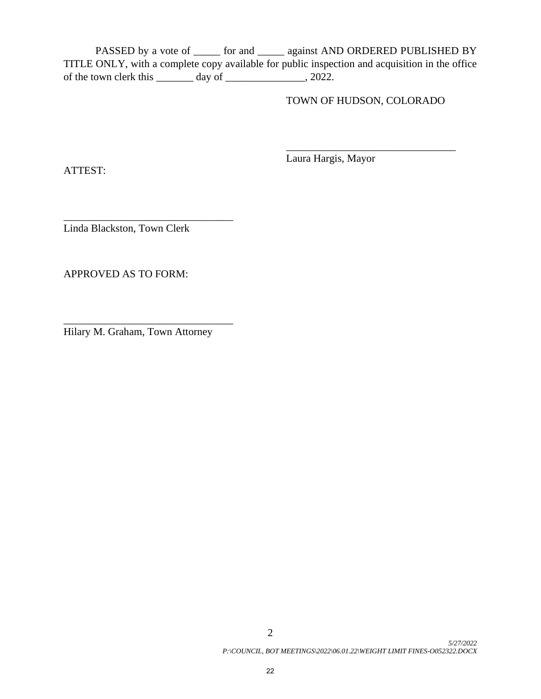PASSED by a vote of \_\_\_\_\_\_ for and \_\_\_\_\_ against AND ORDERED PUBLISHED BY TITLE ONLY, with a complete copy available for public inspection and acquisition in the office of the town clerk this \_\_\_\_\_\_\_ day of \_\_\_\_\_\_\_\_\_\_\_\_\_\_\_, 2022.

TOWN OF HUDSON, COLORADO

\_\_\_\_\_\_\_\_\_\_\_\_\_\_\_\_\_\_\_\_\_\_\_\_\_\_\_\_\_\_\_\_

ATTEST:

Laura Hargis, Mayor

\_\_\_\_\_\_\_\_\_\_\_\_\_\_\_\_\_\_\_\_\_\_\_\_\_\_\_\_\_\_\_\_ Linda Blackston, Town Clerk

APPROVED AS TO FORM:

Hilary M. Graham, Town Attorney

\_\_\_\_\_\_\_\_\_\_\_\_\_\_\_\_\_\_\_\_\_\_\_\_\_\_\_\_\_\_\_\_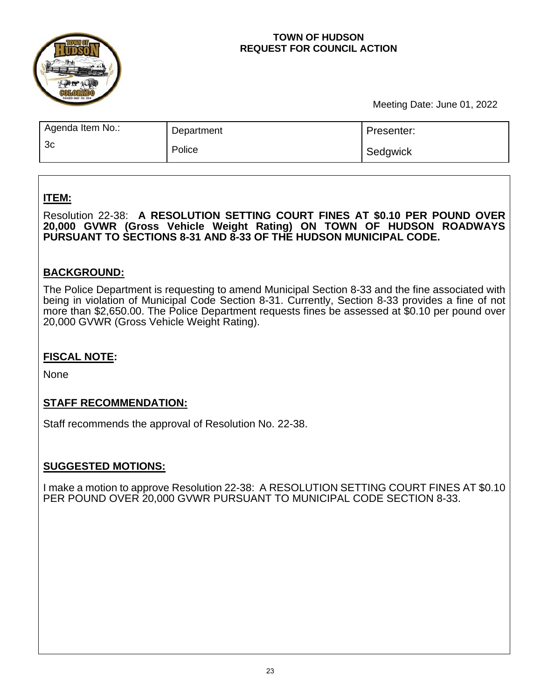

## **TOWN OF HUDSON REQUEST FOR COUNCIL ACTION**

Meeting Date: June 01, 2022

| Agenda Item No.: | Department | Presenter: |
|------------------|------------|------------|
| 3 <sub>c</sub>   | Police     | Sedgwick   |

# **ITEM:**

Resolution 22-38: **A RESOLUTION SETTING COURT FINES AT \$0.10 PER POUND OVER 20,000 GVWR (Gross Vehicle Weight Rating) ON TOWN OF HUDSON ROADWAYS PURSUANT TO SECTIONS 8-31 AND 8-33 OF THE HUDSON MUNICIPAL CODE.** 

# **BACKGROUND:**

The Police Department is requesting to amend Municipal Section 8-33 and the fine associated with being in violation of Municipal Code Section 8-31. Currently, Section 8-33 provides a fine of not more than \$2,650.00. The Police Department requests fines be assessed at \$0.10 per pound over 20,000 GVWR (Gross Vehicle Weight Rating).

# **FISCAL NOTE:**

None

## **STAFF RECOMMENDATION:**

Staff recommends the approval of Resolution No. 22-38.

# **SUGGESTED MOTIONS:**

I make a motion to approve Resolution 22-38: A RESOLUTION SETTING COURT FINES AT \$0.10 PER POUND OVER 20,000 GVWR PURSUANT TO MUNICIPAL CODE SECTION 8-33.